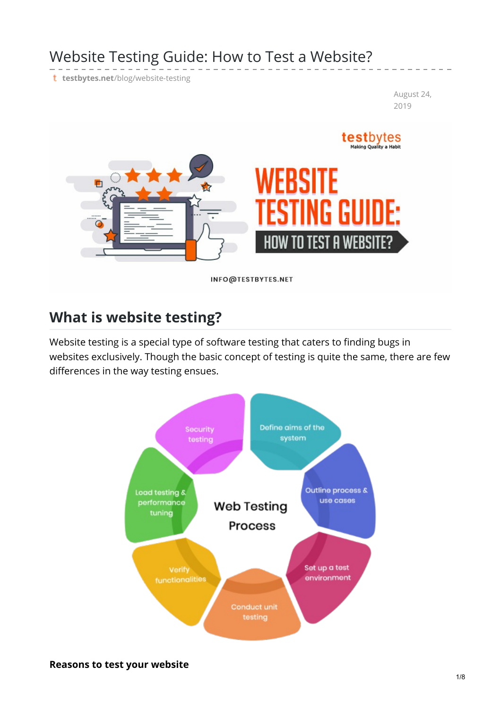# Website Testing Guide: How to Test a Website?

t testbytes.net[/blog/website-testing](https://www.testbytes.net/blog/website-testing/#3)

August 24, 2019



# **What is website testing?**

Website testing is a special type of software testing that caters to finding bugs in websites exclusively. Though the basic concept of testing is quite the same, there are few differences in the way testing ensues.

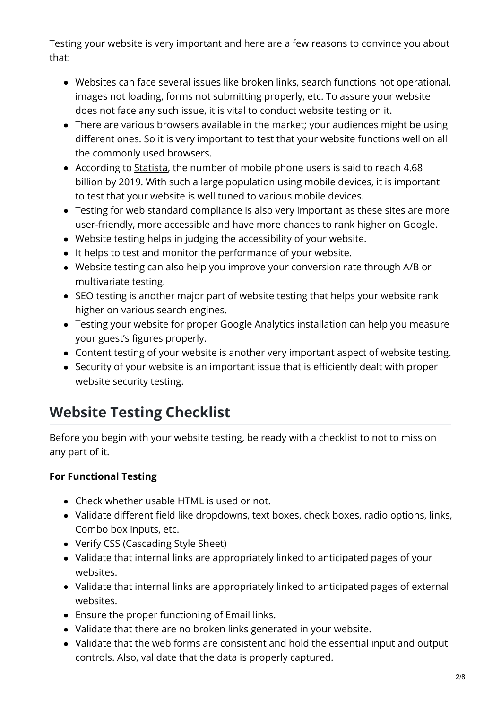Testing your website is very important and here are a few reasons to convince you about that:

- Websites can face several issues like broken links, search functions not operational, images not loading, forms not submitting properly, etc. To assure your website does not face any such issue, it is vital to conduct website testing on it.
- There are various browsers available in the market; your audiences might be using different ones. So it is very important to test that your website functions well on all the commonly used browsers.
- According to [Statista](https://www.statista.com/statistics/330695/number-of-smartphone-users-worldwide/), the number of mobile phone users is said to reach 4.68 billion by 2019. With such a large population using mobile devices, it is important to test that your website is well tuned to various mobile devices.
- Testing for web standard compliance is also very important as these sites are more user-friendly, more accessible and have more chances to rank higher on Google.
- Website testing helps in judging the accessibility of your website.
- It helps to test and monitor the performance of your website.
- Website testing can also help you improve your conversion rate through A/B or multivariate testing.
- SEO testing is another major part of website testing that helps your website rank higher on various search engines.
- Testing your website for proper Google Analytics installation can help you measure your guest's figures properly.
- Content testing of your website is another very important aspect of website testing.
- Security of your website is an important issue that is efficiently dealt with proper website security testing.

# **Website Testing Checklist**

Before you begin with your website testing, be ready with a checklist to not to miss on any part of it.

## **For Functional Testing**

- Check whether usable HTML is used or not.
- Validate different field like dropdowns, text boxes, check boxes, radio options, links, Combo box inputs, etc.
- Verify CSS (Cascading Style Sheet)
- Validate that internal links are appropriately linked to anticipated pages of your websites.
- Validate that internal links are appropriately linked to anticipated pages of external websites.
- Ensure the proper functioning of Email links.
- Validate that there are no broken links generated in your website.
- Validate that the web forms are consistent and hold the essential input and output controls. Also, validate that the data is properly captured.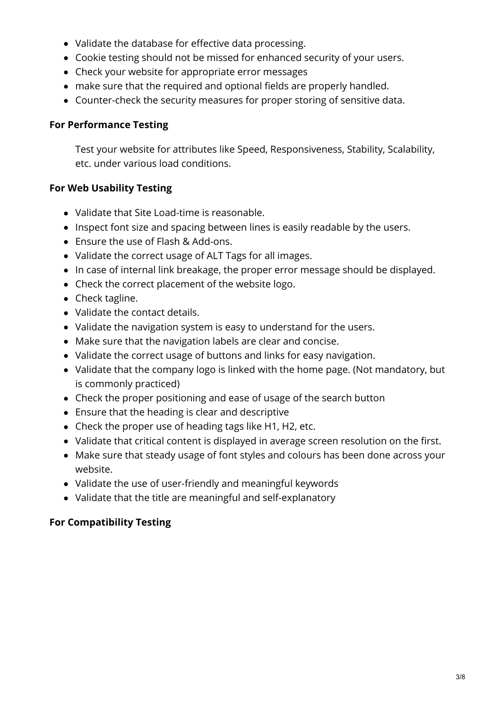- Validate the database for effective data processing.
- Cookie testing should not be missed for enhanced security of your users.
- Check your website for appropriate error messages
- make sure that the required and optional fields are properly handled.
- Counter-check the security measures for proper storing of sensitive data.

#### **For Performance Testing**

Test your website for attributes like Speed, Responsiveness, Stability, Scalability, etc. under various load conditions.

#### **For Web Usability Testing**

- Validate that Site Load-time is reasonable.
- Inspect font size and spacing between lines is easily readable by the users.
- Ensure the use of Flash & Add-ons.
- Validate the correct usage of ALT Tags for all images.
- In case of internal link breakage, the proper error message should be displayed.
- Check the correct placement of the website logo.
- Check tagline.
- Validate the contact details.
- Validate the navigation system is easy to understand for the users.
- Make sure that the navigation labels are clear and concise.
- Validate the correct usage of buttons and links for easy navigation.
- Validate that the company logo is linked with the home page. (Not mandatory, but is commonly practiced)
- Check the proper positioning and ease of usage of the search button
- Ensure that the heading is clear and descriptive
- Check the proper use of heading tags like H1, H2, etc.
- Validate that critical content is displayed in average screen resolution on the first.
- Make sure that steady usage of font styles and colours has been done across your website.
- Validate the use of user-friendly and meaningful keywords
- Validate that the title are meaningful and self-explanatory

#### **For Compatibility Testing**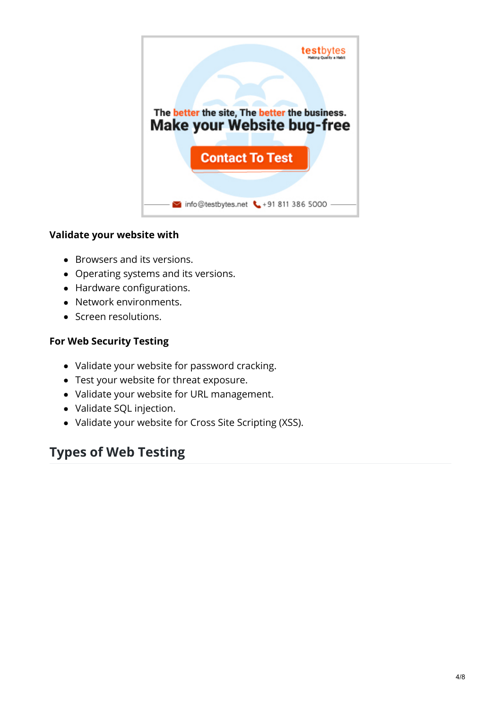

#### **Validate your website with**

- Browsers and its versions.
- Operating systems and its versions.
- Hardware configurations.
- Network environments.
- Screen resolutions.

#### **For Web Security Testing**

- Validate your website for password cracking.
- Test your website for threat exposure.
- Validate your website for URL management.
- Validate SQL injection.
- Validate your website for Cross Site Scripting (XSS).

# **Types of Web Testing**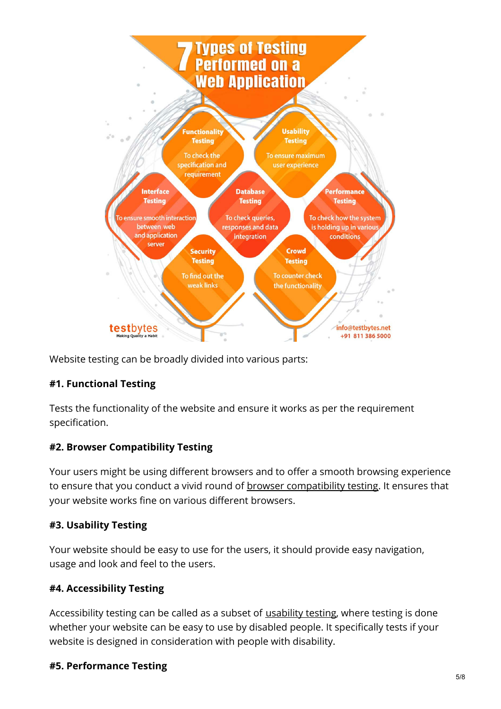

Website testing can be broadly divided into various parts:

## **#1. Functional Testing**

Tests the functionality of the website and ensure it works as per the requirement specification.

#### **#2. Browser Compatibility Testing**

Your users might be using different browsers and to offer a smooth browsing experience to ensure that you conduct a vivid round of browser [compatibility](https://www.testbytes.net/blog/browser-compatibility-testing-of-web-apps-top-5-browsers/) testing. It ensures that your website works fine on various different browsers.

#### **#3. Usability Testing**

Your website should be easy to use for the users, it should provide easy navigation, usage and look and feel to the users.

#### **#4. Accessibility Testing**

Accessibility testing can be called as a subset of [usability](https://www.testbytes.net/blog/cost-of-usability-testing/) testing, where testing is done whether your website can be easy to use by disabled people. It specifically tests if your website is designed in consideration with people with disability.

#### **#5. Performance Testing**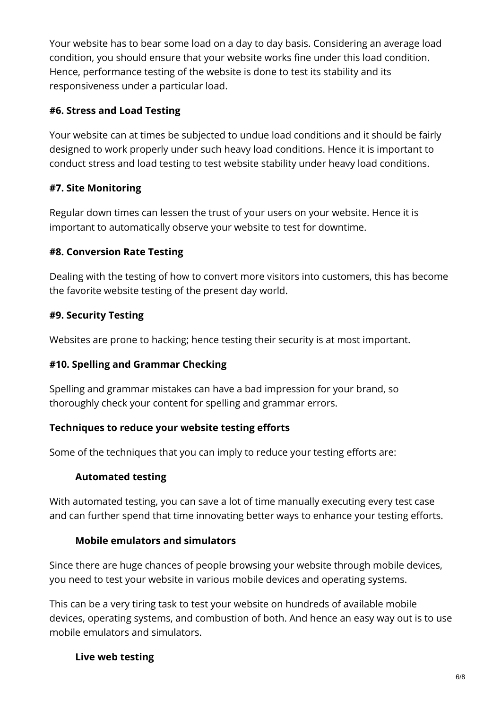Your website has to bear some load on a day to day basis. Considering an average load condition, you should ensure that your website works fine under this load condition. Hence, performance testing of the website is done to test its stability and its responsiveness under a particular load.

#### **#6. Stress and Load Testing**

Your website can at times be subjected to undue load conditions and it should be fairly designed to work properly under such heavy load conditions. Hence it is important to conduct stress and load testing to test website stability under heavy load conditions.

## **#7. Site Monitoring**

Regular down times can lessen the trust of your users on your website. Hence it is important to automatically observe your website to test for downtime.

#### **#8. Conversion Rate Testing**

Dealing with the testing of how to convert more visitors into customers, this has become the favorite website testing of the present day world.

#### **#9. Security Testing**

Websites are prone to hacking; hence testing their security is at most important.

#### **#10. Spelling and Grammar Checking**

Spelling and grammar mistakes can have a bad impression for your brand, so thoroughly check your content for spelling and grammar errors.

#### **Techniques to reduce your website testing efforts**

Some of the techniques that you can imply to reduce your testing efforts are:

#### **Automated testing**

With automated testing, you can save a lot of time manually executing every test case and can further spend that time innovating better ways to enhance your testing efforts.

#### **Mobile emulators and simulators**

Since there are huge chances of people browsing your website through mobile devices, you need to test your website in various mobile devices and operating systems.

This can be a very tiring task to test your website on hundreds of available mobile devices, operating systems, and combustion of both. And hence an easy way out is to use mobile emulators and simulators.

## **Live web testing**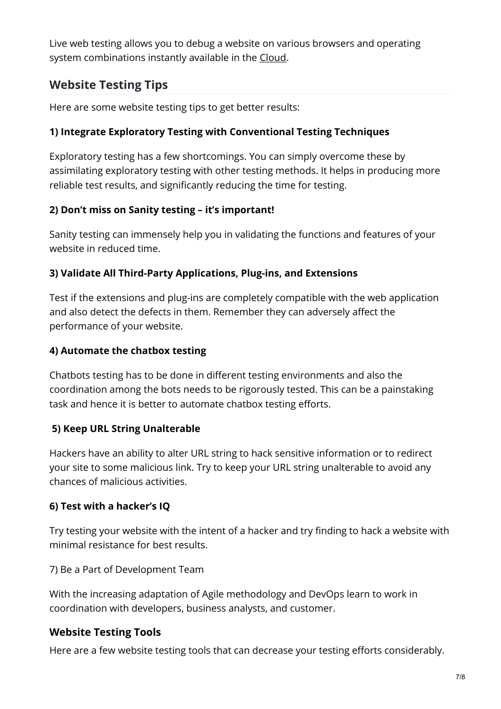Live web testing allows you to debug a website on various browsers and operating system combinations instantly available in the [Cloud](https://cloud.google.com/).

## **Website Testing Tips**

Here are some website testing tips to get better results:

#### **1) Integrate Exploratory Testing with Conventional Testing Techniques**

Exploratory testing has a few shortcomings. You can simply overcome these by assimilating exploratory testing with other testing methods. It helps in producing more reliable test results, and significantly reducing the time for testing.

#### **2) Don't miss on Sanity testing – it's important!**

Sanity testing can immensely help you in validating the functions and features of your website in reduced time.

#### **3) Validate All Third-Party Applications, Plug-ins, and Extensions**

Test if the extensions and plug-ins are completely compatible with the web application and also detect the defects in them. Remember they can adversely affect the performance of your website.

## **4) Automate the chatbox testing**

Chatbots testing has to be done in different testing environments and also the coordination among the bots needs to be rigorously tested. This can be a painstaking task and hence it is better to automate chatbox testing efforts.

## **5) Keep URL String Unalterable**

Hackers have an ability to alter URL string to hack sensitive information or to redirect your site to some malicious link. Try to keep your URL string unalterable to avoid any chances of malicious activities.

## **6) Test with a hacker's IQ**

Try testing your website with the intent of a hacker and try finding to hack a website with minimal resistance for best results.

7) Be a Part of Development Team

With the increasing adaptation of Agile methodology and DevOps learn to work in coordination with developers, business analysts, and customer.

## **Website Testing Tools**

Here are a few website testing tools that can decrease your testing efforts considerably.